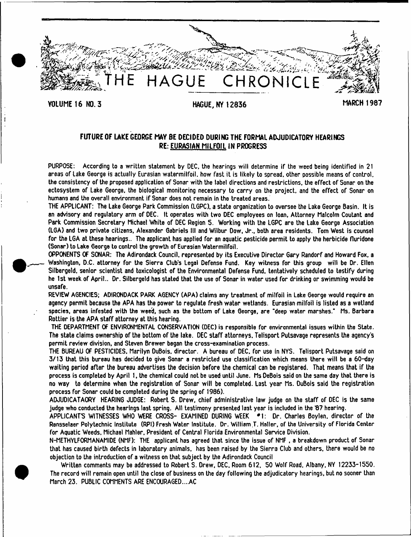

# FUTURE OF LAKE GEORGE MAY BE DECIDED DURING THE FORMAL ADJUDICATORY HEARINGS RE: EURASIAN MILFOIL IN PROGRESS

PURPOSE: According to a written statement by DEC, the hearings will determine if the weed being identified in 21 areas of Lake George is actually Eurasian watermilfoil. how fast it is likely to spread, other possible means of control, the consistency of the proposed application of Sonar with the label directions and restrictions, the effect of Sonar on the ectosystem of Lake George, the biological monitoring necessary to carry on the project, and the effect of Sonar on humans and the overall environment if Sonar does not remain in the treated areas.

THE APPLICANT: The Lake George Park Commission (LGPC), a state organization to oversee the Lake George Basin. It is an advisory and regulatory arm of DEC, It operates with two DEC employees on loan, Attorney Malcolm Coutant and Park Commission Secretary Michael White of DEC Region 5. Working with the LGPC are the Lake George Association (LGA) and two private citizens, Alexander Gabriels HI and Wilbur Dow, Jr., both area residents. Tom West is counsel for the LGA at these hearings.. The applicant has applied for an aquatic pesticide permit to apply the herbicide fluridone (Sonar) to Lake George to control the growth of Eurasian Watermilfoil.

OPPONENTS OF SONAR: The Adirondack Council, represented by its Executive Director Gary Randorf and Howard Fox, a Washington, D.C. attorney for the Sierra Club's Legal Defense Fund. Key witness for this group will be Dr. Ellen Silbergeld. senior scientist and toxicologist of the Environmental Defense Fund, tentatively scheduled to testify during he 1st week of April.. Dr. Silbergeld has stated that the use of Sonar in water used for drinking or swimming would be unsafe.

REVIEW AGENCIES: ADIRONDACK PARK AGENCY (APA) claims any treatment of milfoil in Lake George would require an agency permit because the APA has the power to regulate fresh water wetlands. Eurasian milfoil is listed as a wetland species, areas infested with the weed, such as the bottom of Lake George, are 'deep water marshes." Ms. Barbara Rottier is the APA staff attorney at this hearing.

THE DEPARTMENT OF ENVIRONMENTAL CONSERVATION (DEC) is responsible for environmental issues within the State. The state claims ownership of the bottom of the lake. DEC staff attorneys. Telisport Putsavage represents the agency's permit review division, and Steven Brewer began the cross-examination process.

THE BUREAU OF PESTICIDES. Marilyn DuBois, director. A bureau of DEC. for use in NYS, Telisport Putsavage said on 3/13 that this bureau has decided to give Sonar a restricted use classification which means there will be a 60-day waiting period after the bureau advertises the decision before the chemical can be registered. That means that if the process is completed by April 1, the chemical could not be used until June. Ms DeBois said on the same day that there is no way to determine when the registration of Sonar will be completed. Last year Ms. DuBois said the registration process for Sonar could be completed during the spring of 1986).

ADJUDICATAORY HEARING JUDGE: Robert S. Drew, chief administrative law judge on the staff of DEC is the same judge who conducted the hearings last spring. All testimony presented last year is included in the 87 hearing.

APPLICANT'S WITNESSES WHO WERE CROSS- EXAMINED DURING WEEK \*1: Dr. Charles Boylen. director of the Rensselaer Polytechnic Institute (RPI) Fresh Water Institute. Dr. William T. Haller, of the University of Florida Center for Aquatic Weeds, Michael Mahler. President of Central Florida Environmental Service Division.

N-METHYLFORMANAMIDE (NMF): THE applicant has agreed that since the issue of NMF , a breakdown product of Sonar that has caused birth defects in laboratory animals, has been raised by the Sierra Club and others, there would be no objection to the introduction of a witness on that subject by the Adirondack Council

Written comments may be addressed to Robert S. Drew, DEC. Room 612, 50 Wolf Road, Albany. NY 12233-1550. The record will remain open until the close of business on the day following the adjudicatory hearings, but no sooner than March 23. PUBLIC COMMENTS ARE ENCOURAGED....AC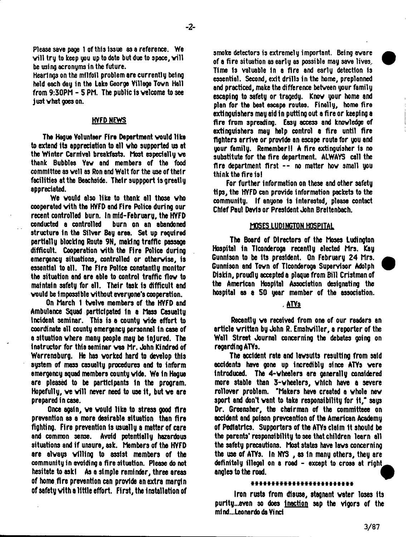Please save page 1 of this Issue as a reference. We will try to keep you up to date but due to space, will be using acronyms in the future.

Hearings on the milfoil problem are currently being held each day in the Lake George Village Tovn Hall from 9:30PM - 5 PM. The public is welcome to see just what goes on.

### HVFD NEWS

The Hague Volunteer Fire Department would like to extend its appreciation to all who supported us at the Winter Carnival breakfasts. Most especially we thank Bubbles Yaw and members of the food committee as well as Ron and Walt for the use of their facilities at the Beachside. Their suppport is greatly appreciated.

We would also like to thank all those who cooperated with the HVFD and Fire Police during our recent controlled burn. In mid-February, the HYFD conducted a controlled burn on an abandoned structure In the Silver Bay area. Set up required partially blocking Route 9N, making traffic passage difficult. Cooperation with the Fire Police during emergency situations, controlled or otherwise, is essential to all. The Fire Police constantly monitor the situation and are able to control traffic flow to maintain safety for all. Their task Is difficult and would be impossible without everyone's cooperation.

On March 1 twelve members of the HVFD and Ambulance Squad participated in a Msss Casualty incident seminar. This is a county wide effort to coordinate all county emergency personnel in case of a situation where many people may be Injured. The instructor for this seminar was Mr. John Kindred of Warrensburg. He has worked hard to develop this system of mass casualty procedures and to inform emergency squad members county wide. We in Hague are pleased to be participants in the program. Hopefully, we will never need to use it, but we are prepared in case.

Once again, we would like to stress good fire prevention as a more desirable situation than fire fighting. Fire prevention Is usually a matter of care and common sense. Avoid potentially hazardous situations and if unsure, ask. Members of the HVFD are always willing to assist members of the community in avoiding a fire situation. Please do not hesitate to ask) As a simple reminder, three areas of home fire prevention can provide an extra margin of safety with a little effort. First, the installation of

smoke detectors is extremely important. Being aware of a fire situation as early 83 possible may save lives.. Time Is valuable In a fire and early detection Is essential. Second, exit drills in the home, preplanned and practiced, make the difference between your family escaping to safety or tragedy. Know your home and plan for the beat escape routes. Finally, home fire extinguishers may aid in putting out a fire or keeping a fire from spreading. Easy access and knowledge of extinguishers may help control a fire until fire fighters arrive or provide an escape route for you and your family. Remember I! A fire extinguisher is no substitute for the fire department. ALWAYS call the fire department first -- no matter how small you think the fire is)

For further information on these and other safety tips, the HYFD can provide information packets to the community. If anyone is interested, please contact Chief Paul Davis or President John Breltenbach.

### **MOSES LUPINCTQN HOSPITAL**

The Board of Directors of the Moses Ludington Hospital in Tlconderoga recently elected Mrs. Kay Gunnison to be its president. On February 24 Mrs. Gunnison and Town of Tlconderoga Supervisor Adolph ^ P Diskin, proudly accepted a plaque from Bill Cristmanof the American Hospital Association designating the hospital as a 50 year member of the association.

### . ATYs

Recently we received from one of our readers an article written by John R. Emshwiller, a reporter of the Wall Street Journal concerning the debates going on regarding ATVs.

The accident rate and lawsuits resulting from said accidents have gone up incredibly since ATYs were introduced. The 4-wheelers are generally considered more stable than 3-wheelers, which have a severe rollover problem. "Makers have created a whole new sport and don't want to take responsibility for it," says Dr. Greensher, the chairman of the committeee on accident and poison prevention of the American Academy of Pediatrics. Supporters of the ATYs claim it should be the parents'responsibility to see that children learn all the safety precautions. Most states have laws concerning the use of ATYs. In NYS , as In many others, they are definitely illegal on a road - except to cross at right^^ angles to the road.

#### \*\*\*\*\*\*\*\*\*\*\*\*\*\*\*\*\*\*\*\*\*\*\*\*

Iron rusts from disuse, stagnant water loses Its purity...even so does inaction sap the vigors of the mi nd...Leonardo da Vi net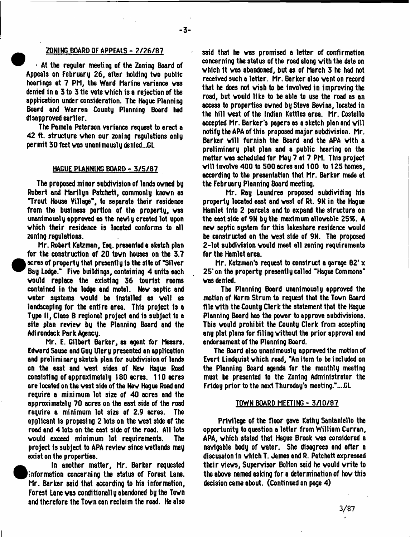#### ZONING BOARD OF APPEALS - 2/26/87

 $\cdot$  At the regular meeting of the Zoning Board of Appeals on February 26, after holding tvo public hearings at 7 PM, the Ward Marina variance vaa denied in a 3 to 3 tie vote vhich is a rejection of the application under consideration. The Hague Planning Board and Warren County Planning Board had disapproved earlier.

The Pamela Peterson variance request to erect a 42 ft. structure when our 2oning regulations only permit 30 feet vas unanimously den1ed..JGL

#### HAGUE PLANNING BOARD - 3/5/87

The proposed minor subdivision of lands owned by Robert and Marilyn Patchett, commonly known as Trout House Village", to separate their residence from the business portion of the property, was unanimously approved as the newly created lot upon which their residence is located conforms to all zoning regulations.

Mr. Robert Ketzman, Esq. presented e sketch plan for the construction of 20 town houses on the 3.7 acres of property that presently is the site of "Silver" Bay Lodge." Five buildings, containing 4 units each would replace the existing 36 tourist rooms contained in the lodge and motel. New septic and water systems would be installed as well as landscaping for the entire area. This project is a Type II, Class B regional project and is subject to e site plan review by the Planning Board end the Adirondack Park Agency.

Mr. E. Gilbert Barker, as agent for Messrs. Edward Seuse and Guy Ulery presented an application and preliminary sketch plan for subdivision of lends on the east and vest sides of New Hague Road consisting of approximately 180 acres. 110 acres are located on the vest side of the New Hague Road and require a minimum lot size of 40 acres and the approximately 70 acres on the east side of the road require a minimum lot eize of 2.9 acres. The applicant 1s proposing 2 lots on the vest side of the road and 4 lots on the east side of the road. All lots would exceed minimum lot requirements. The project Is subject to APA review since wetlands may exist on the properties.

in another matter, Mr. Barker requested (information concerning the status of Forest Lane. Mr. Barker said that according to his information, Forest Lane was conditionally abandoned by the Town and therefore the Town can reclaim the road. He also said that he vas promised a letter of confirmation concerning the status of the road along with the date on which It was abandoned, but as of March 3 he had not received such e letter. Mr. Barker also vent on record that he does not wish to be Involved in improving the road, but would like to be able to use the road as an access to properties owned by Steve Bevins, located in the hill vest of the Indian Kettles area. Mr. Costello accepted Mr. Barker's papers as a sketch plan and will notify the APA of this proposed major subdivision. Mr. Barker will furnish the Board and the APA with a preliminary plat plan and a public hearing on the matter was scheduled for May 7 at 7 PM. This project will Involve 400 to 500 acres and 100 to 125 homes, according to the presentation that Mr. Barker made at the February Planning Board meeting.

Mr. Ray Laundree proposed subdividing his property located east end west of Rt. 9N in the Hague Hamlet Into 2 parcels and to expand the structure on the east side of 9N by the maximum allowable 25%. A new septic system for this lakeshore residence would be constructed on the vest side of 9N. The proposed 2-lot subdivision would meet ell zoning requirements for the Hamlet area.

Mr. Katz man's request to construct a garage  $62' \times$ 25\* on the property presently called "Hague Commons" vas denied.

The Planning Board unanimously approved the motion of Norm Strum to request that the Town Board file with the County Clerk the statement that the Hague Planning Board has the power to approve subdivisions. This would prohibit the County Clerk from accepting any plat plans for filing without the prior approval and endorsement of the Planning Board.

The Board also unanimously approved the motion of Evert Lindquist which read, "An item to be included on the Planning Board agenda for the monthty meeting must be presented to the Zoning Administrator the Friday prior to the next Thursday's meeting."....GL

#### TOWN BOARD MEETING - 5/10/87

Privilege of the floor gave Kathy Santanlello the opportunity to question e letter from William Curran, APA, vhich stated that Hague Brook vas considered a navigable body of water. She disagrees and after a discussion in vhich T. James end R. Patchett expressed their views, Supervisor Bolton said he would write to the above named asking for a determination of how this decision came about. (Continued on page 4)

3/87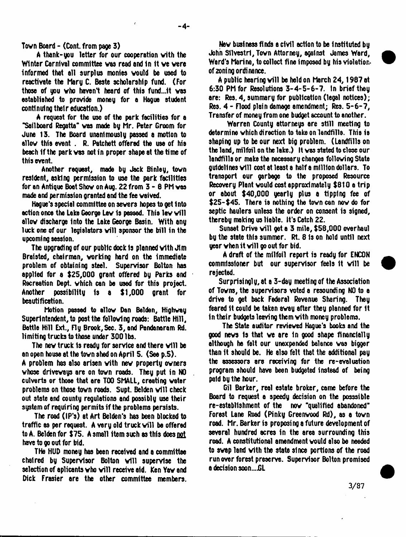Town Board - (Cont. from page 3)

A thank-you letter for our cooperation vith the Winter Carnival committee was read and in it we were informed that all surplus monies would be used to reactivate the Mary C. Beste scholarship fund. (For those of you who haven't heard of this fund...it was established to provide money for a Hague student contlnulng their education.)

A request for the use of the park facilities for a "Sailboard Regatta" vas made by Mr. Peter Groom for June 13. The Board unanimously passed a motion to allow this event . R. Patchett offered the use of his beach if the park vas not in proper shape at the time of this event.

Another request, made by Jack Binley, town resident, asking permission to use the park facilities for an Antique Boat Show on Aug. 22 from 3 - 6 PM vas made and permission granted and the fee vaived.

Hague's special committee on severs hopes to get Into action once the Lake George lev is passed. This lav will allow discharge into the Lake George Basin. With any luck one of our legislators will sponsor the bill in the upcoming session.

The upgrading of our public dock Is planned vith Jim Braisted, chairman, vorking hard on the immediate problem of obtaining steel. Supervisor Bolton has applied for a \$25,000 grant offered by Parks and Recreation Dept, vhich can be used for this project. Another possibility is a \$1,000 grant for beautification.

Motion passed to allow Dan Belden, Highway Superintendent, to post the following roads: Battle Hill, Bottle Hill Ext., Fly Brook,Sec. 3, and Pandanoram Rd. limiting trucks to those under 300 lbs.

The new truck is ready for service and there will be an open house at the town shed on April 5. (See p.5). A problem has also arisen vith nev property owners whose driveways are on town roads. They put in NO culverts or those that are TOO SMAIL, creating water problems on those town roads. Supt. Belden will check out state and county regulations and possibly use their system of requiring permits if the problems persists.

The road (IP's) at Art Belden's has been blocked to traffic as per request. A very old truck will be offered to A. Belden for  $$75.$  A small item such as this does not have to go out for bid.

THe HUD money has been received and a committee chaired by Supervisor Bolton will supervise the selection of aplicants vho will receive aid. Ken Yav and Dick Frasier are the other committee members.

Nev business finds e civil action to be Instituted by John Sllvestrl, Tovn Attorney, against James Ward, Ward's Marina, to collect fine imposed by his violationof zoning ordinance.

A public hearing will be held on March 24, 1987 at 6:30 PM for Resolutions 3-4-5-6-7. In brief they are: Res. 4, summary for publication (legal notices); Res. 4 - Flood plain damage amendment; Res. 5-6-7, Transfer of money from one budget account to another.

Warren County attorneys are still meeting to determine vhich direction to take on landfills. This is shaping up to be our next big problem. (Landfills on the land, milfoil on the lake.) It vas stated to close our landfills or make the necessary changes following State guidelines will cost at least a half a million dollars. To transport our garbage to the proposed Resource Recovery Plant vould cost approximately \$810 a trip or about \$40,000 yearly plus a tipping fee of \$25-\$45. There is nothing the tovn can nov do for septic haulers unless the order on consent is signed, thereby making us liable. It's Catch 22.

Sunset Drive will get a 3 mile, \$58,000 overhaul by the state this summer. Rt. 8 is on hold until next year when it will go out for bid.

A draft of the milfoil report is ready for ENCON commissioner but our supervisor feels it will be rejected.

Surprisingly, at a 3-day meeting of the Association of Towns, the supervisors voted a resounding NO to a drive to get back Federal Revenue Sharing. They feared It could be taken avay after they planned for it in their budgets leaving them vith money problems.

The State auditor reviewed Hague's books and the good news Is that ve are In good shape financially although he felt our unexpended balance vas bigger than it should be. He also felt that the additional pay the assessors are receiving for the re-evaluation program should have been budgeted instead of being paid by the hour.

Gil Barker, real estate broker, came before the Board to request a speedy decision on the posssible re-establishment of the nov "qualified abandoned" Forest Lane Road (Pinky Greenwood Rd), as a tovn road. Mr. Barker is proposing a future development of several hundred acres in the area surrounding this road. A constitutional amendment vould also be needed to swap land vith the state since portions of the road run over forest preserve. Supervisor Bolton promised a decision soon...JGL

 $3/87$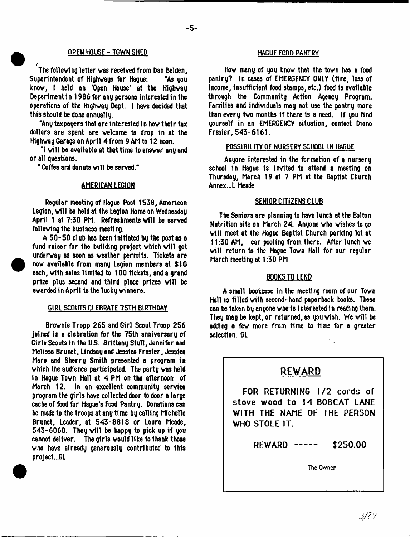#### OPEN HOUSE - TOWN SHED **HAGUE FOOD PANTRY**

The following letter vas received from Dan Belden, Superintendent of Highways for Hague: "As you know, I held an 'Open House' at the Highway Department in 1986 for any persona interested in the operations of the Highvay Dept. I have decided that this should be done annually.

"Any taxpayers that are interested in hov their tax dollars are spent are welcome to drop in at the Highvay Garage on April 4 from 9 Ah to 12 noon.

"I will be available at that time to answer any and or all questions.

" Coffee and donuts will be served."

### **AMERICAM1EGIQN**

Regular meeting of Hague Post 1538, American Legion, will be held at the Legion Home on Wednesday April 1 at 7:30 PM. Refreshments will be served following the business meeting.

A 50-50 club has been Initiated by the post as a fund raiser for the building project which will get underway ss soon as veather permits. Tickets are nov available from many Legion members at \$10 each, vith sales limited to 100 tickets, and a grand prize plus second and third place prizes will be awarded in April to the lucky vinners.

#### GIRL SCOUTS CLEBRATE 75TH BIRTHDAY

Brovnie Tropp 265 and Girl Scout Troop 256 joined in a clebration for the 75th anniversary of Girls Scouts in the US. Brittany Stull, Jennifer and Melissa Brunet, Li ndsay and Jessica Frasier, Jessica Mars and Sherry Smith presented a program in vhich the audience participated. The party vas held in Hague Town Hall at 4 PM on the afternoon of March 12. In an excellent community service program the girls have collected door to door a large cache of food for Hague's Food Pantry. Donations can be made to the troops at any time by calling Michelle Brunet, Leader, at 543-8818 or Laura Meade,  $543-6060$ . They will be happy to pick up if you cannot deliver. The girls vould like to thank those vho have already generously contributed to this project...GL

Hov many of you know that the tovn has a food pantry? In cases of EMERGENCY ONLY (fire, loss of Income, Insufficient food stamps, etc.) food is available through the Community Action Agency Program. Families and individuals may not use the pantry more than every two months if there is a need. If you find yourself in an EMERGENCY situation, contact Diane Frasier, 543-6161.

#### POSSIBILITY OF NURSERY SCHOOL IN HAGUE

Anyone interested in the formation of a nursery school 1n Hague Is Invited to ettend a meeting on Thursday, March 19 at 7 PM at the Baptist Church Annex.,1 Meade

### SENIOR CITIZENS CLUB

The Seniors are planning to have lunch at the Bolton Nutrition site on March 24. Anyone vho wishes to go will meet at the Hague Baptist Church parking lot at 11:30 AM, car pooling from there. After lunch ve will return to the Hague Town Hall for our regular March meeting at 1:30 PM

### BOOKS TO LEND

A small bookcase in the meeting room of our Tovn Hall is filled vith second-hand paperback books. These can be taken by anyone vho is Interested In reading them. They may be kept, or returned, as you vish. We will be adding a few more from time to time for a greater selection. GL

# **REWARD**

**FOR RETURNING 1/2 cords of stove wood to 14 BOBCAT LANE WITH THE NAME OF THE PERSON WHO STOLE IT.**

**REWARD** ----- \$250.00

The Owner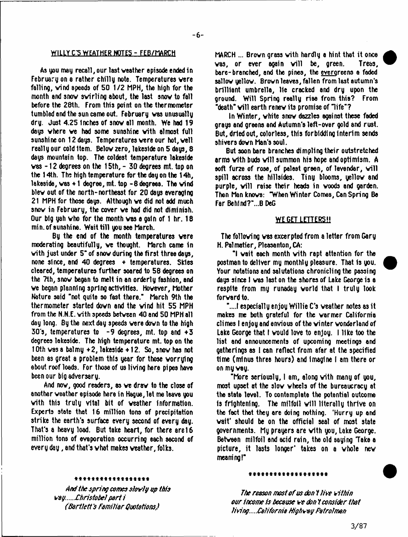### WILLY C'S WEATHER NOTES - FEB/MARCH

As you may recall, our last veather episode ended in February on a rather chilly note. Temperatures were falling, vind speeds of 50 1/2 MPH, the high for the month and snov avirling about, the last snov to fall before the 28th. From this point on the thermometer tumbled and the sun came out. February was unusually dry. Just 4.25 Inches of snov all month. We had 19 days vhere ve had some sunshine vith almost full sunshine on 12 days. Temperatures were our hot, well really our cold Item. Belov zero, lakeside on 5 days, 8 days mountain top. The coldest temperature lakeside vas -12 degrees on the 15th, - 30 degrees mt. top on the 14th. The high temperature for the day on the 14h, lakeside, vas + 1 degree, mt. top -8 degrees. The vind blev out of the north-northeast for 20 days averaging 21 MPH for those days. Although ve did not add much snov in February, the cover ve had did not diminish. Our big yah vho for the month vas a gain of 1 hr. 18 min, of sunshine. Wait till you see March.

By the end of the month temperatures vere moderating beautifully, ve thought. March came in vith just under 5\* of snov during the first three days, none since, and  $40$  degrees  $+$  temperatures. Skies cleared, temperatures further soared to 58 degrees on the 7th, snov began to melt in an orderly fashion, and ve began planning spring activities. Hovever, Mother Nature said "not quite so fast there.'' March 9th the thermometer started dovn and the vind hit 55 MPH from the N.N.E. vith speeds between 40 and 50 MPH all day long. By the next day speeds vere dovn to the high  $30's$ , temperatures to  $-9$  degrees, mt. top and  $+3$ degrees lakeside. The high temperature mt. top on the 10th vas a balmy +2, lakeside + 12. So, snov has not been as great a problem this year for those vorrylng about roof loads. For those of us living here pipes have been our big adversary.

And nov, good readers, as ve drav to the close of another veather episode here in Hague, let me leave you vith this truly vital bit of veather information. Experts state that 16 million tons of precipitation strike the earth's surface every second of every day. That's a heavy load. But take heart, for there are 16 million tons of evaporation occurring each second of every day, and that's vhat makes veather, folks.

fVkRCH ... Brovn grass vith hardly a hint that it once  $\forall$ as, or ever again  $\forall$ ill be, green. Trees, bare-branched, and the pines, the evergreens a faded sallov yellow. Brovn leaves, fallen from last autumn's brilliant umbrella, lie cracked and dry upon the ground. Will Spring really rise from this? From "death" will earth renew its promise of "life"?

tn Winter, vhite snov dazzles against these faded grays and greens and Autumn's left-over gold and rust. But, dried out, colorless, this forbidding Interim sends shivers dovn Man's soul.

But soon bare branches dimpling their outstretched arms with buds will summon his hope and optimism.  $A$ soft furze of rose, of palest green, of lavender, will spill across the hillsides. Tiny blooms, yellow and purple, will raise their heads in woods and carden. Then Man knovs: "When Winter Comes, Can Spring Be Far Beh1nd?\*...B DeG

## WE GET LETTERS!!

The following vas excerpted from a letter from Gary H. Palmatier, Pleasanton, CA:

"I vait each month vith rapt attention for the postman to deliver my monthly pleasure. That is you. Your notations and salutations chronicling the passing days since I vas last on the shores of Lake George is a respite from my runaday vorld that I truly look forvard to.

"....I especially enjoy Willie C's veather notes as it makes me both grateful for the warmer California climes I enjoy and envious of the vinter wonderland of Lake George that I vould love to enjoy. I like too the list and announcements of upcoming meetings and gatherings as 1 can reflect from afar at the specified time (minus three hours) and Imagine I am there or on my way.

"More seriously, I am, along vith many of you, most upset at the slov wheels of the bureaucracy at the state level. To contemplate the potential outcome is frightening. The milfoll will literally thrive on the fact that they are doing nothing. 'Hurry up and wait' should be on the official seal of most state governments. My prayers are vith you, Lake George. Between milfoil and acid rein, the old saying Take a picture, it lasts longer' takes on a whole nev meaning!"

#### \*\*\*\*\*\*\*\*\*\*\*\*\*\*\*\*\*\*

*And the spring comes sbvly op this vay.....£hristobel p a rti (Bartlett's fam iliar Quotations)*

#### \*\*\*\*\*\*\*\*\*\*\*\*\*\*\*\*\*\*

*The reason most o f us don t live within our income is because k-e don i consider that living.....California Highvay Patrolman*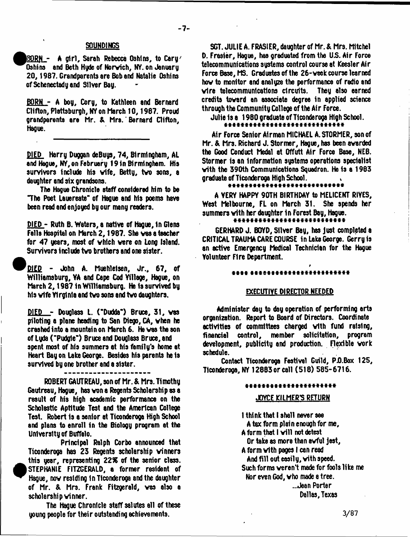#### **SOUNDINGS**

*Q W } L -* A girl, Sarah Rebecca Oshlns, to Cary' Oshins and Beth Hyde of Norvich, NY. on January 20, 1987. Grandparents are Bob and Natalie Oshins of Schenectady and Silver Bay.

BORN - A boy, Cory, to Kathleen and Bernard Clifton, Plattsburgh, NY on March 10,1987. Proud grandparents are Mr. & Mrs. Bernard Clifton, Hague.

DIED Harry Duggan deBuys, 74, Birmingham, AL and Hague, NY, on February 19 in Birmingham. His survivors include his wife, Betty, two sons, a daughter and six grandsons.

The Hague Chronicle staff considered him to be "The Poet Lauereate" of Hague and his poems have been read and enjoyed by our many readers.

DIED - Ruth B. Waters, a native of Hague, in Glens Falls Hospital on March 2,1987. She vas a teacher for 47 years, most of vhich vere on Long Island. Survivors include tvo brothers and one sister.

^ ^ DIEP - John A. Muehleisen, Jr., 67, of Williamsburg, YA and Cape Cod Village, Hague, on March 2,1987 in Williamsburg. He is survived by his vife Virginia and tvo sons and tvo daughters.

DIED - Douglass L. ("Dudda") Bruce, 31, vas piloting a plane heading to San Diego, CA, vhen he crashed into a mountain on March 6. He vas the son of Lyda ("Pudgle") Bruce and Douglass Bruce, and spent most of his summers at his family's home at Heart Bay on Lake George. Besides his parents he is survived by one brother and a sister.

ROBERT GAUTREAU, son of Mr. & Mrs. Timothy Gautreau, Hague, has von a Regents Scholarship as a result of his high academic performance on the Scholastic Aptitude Test and the American College Test. Robert is a senior at Ticonderoga High School and plans to enroll in the Biology program at the University of Buffelo.

Principal Ralph Corbo announced that Ticonderoga has 23 Regents scholarship vinners  $\bullet$  this year, representing *22%* of the senior class. STEPHANIE FITZGERALD, a former resident of Hague, nov residing In Tlconderoga and the daughter of Mr. & Mrs. Frank Fitzgerald, vas also a scholarship vinner.

The Hague Chronicle staff salutes all of these young people for their outstanding achievements.

SGT. JULIE A. FRASIER, daughter of Mr. & Mrs. Mitchel D. Frasier, Hague, has graduated from the *US.* Air Force telecommunications systems control course at Keesler Air Force Base, MS. Graduates of the 26-veck course learned hov to monitor and analyze the performance of radio and vlre telecommunications circuits. They also earned credits tovard an associate degree in applied science through the Community College of the Air Force.

Julie Is a 1980 graduate of Tlconderoga High School.

Air Force Senior Airman MICHAEL A. STORMER, son of Mr. & Mrs. Richard J. Stormer, Hague, has been avarded the Good Conduct Medal at Offutt Air Force Base, NEB. Stormer is an information systems operations specialist vith the 390th Communications Squadron. He is a 1963 graduate of Ticonderoga High School.<br>\*\*\*\*\*\*\*\*\*\*\*\*\*\*\*\*\*\*\*\*\*\*\*\*

A VERY HAPPY 90TH BIRTHDAY to MELICENT RIYES, West Melbourne, FL on March 31. She spends her summers vith her daughter in Forest Bay, Hague.

GERHARD J. BOYD, Sliver Bay, has just completed a CRITICAL TRAUMA CARE COURSE in Lake George. Gerry is an active Emergency Medical Technician for the Hague Volunteer Fire Department.

#### \*\*\*\* \*\*\*\*\*\*\*\*\*\*\*\*\*\*\*\*\*\*\*\*\*\*\*\*

#### EXECUTIVE DIRECTOR NEEDED

Administer day to day operation of performing arts organization. Report to Board of Directors. Coordinate activities of committees charged vith fund raising, financial control, member solicitation, program development, publicity and production. Flexible vork schedule.

Contact Ticonderoga Festival Guild, P.O.Box 125, Tlconderoga, NY 12883 or call (518) 585-6716.

#### \*\*\*\*\*\*\*\*\*\*\*\*\*\*\*\*\*\*\*\*\*\*

#### JOYCE KILMER'S RETURN

I think that I shall never see A tax form plain enough for me, A form that I will not detest Or take as more than avful jest, A form vith pages I can read And fill out easily, vith speed. Such forms verent msde for fools like me Nor even God, vho made a tree. ..Jean Porter Dallas, Texas